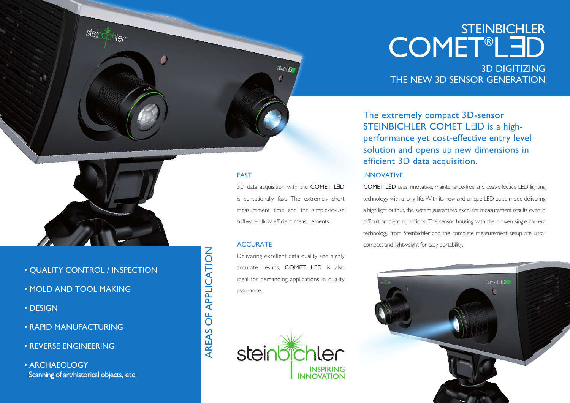## **STEINBICHLER COMET®LED**

3D DIGITIZING THE NEW 3D SENSOR GENERATION

The extremely compact 3D-sensor STEINBICHLER COMET LED is a highperformance yet cost-effective entry level solution and opens up new dimensions in efficient 3D data acquisition.

#### INNOVATIVE

COMET LƎD uses innovative, maintenance-free and cost-effective LED lighting technology with a long life. With its new and unique LED pulse mode delivering a high light output, the system guarantees excellent measurement results even in difficult ambient conditions. The sensor housing with the proven single-camera technology from Steinbichler and the complete measurement setup are ultracompact and lightweight for easy portability.





steir

ler

#### • QUALITY CONTROL / INSPECTION

- MOLD AND TOOL MAKING
- DESIGN
- RAPID MANUFACTURING
- REVERSE ENGINEERING

• ARCHAEOLOGY Scanning of art/historical objects, etc.

# OF APPLICATION AREAS OF APPLICATIONAREAS

FAST

**ACCURATE** 

assurance.

**steinb** 

3D data acquisition with the COMET LED is sensationally fast. The extremely short measurement time and the simple-to-use software allow efficient measurements.

COMETI IN

Delivering excellent data quality and highly accurate results, COMET LƎD is also ideal for demanding applications in quality